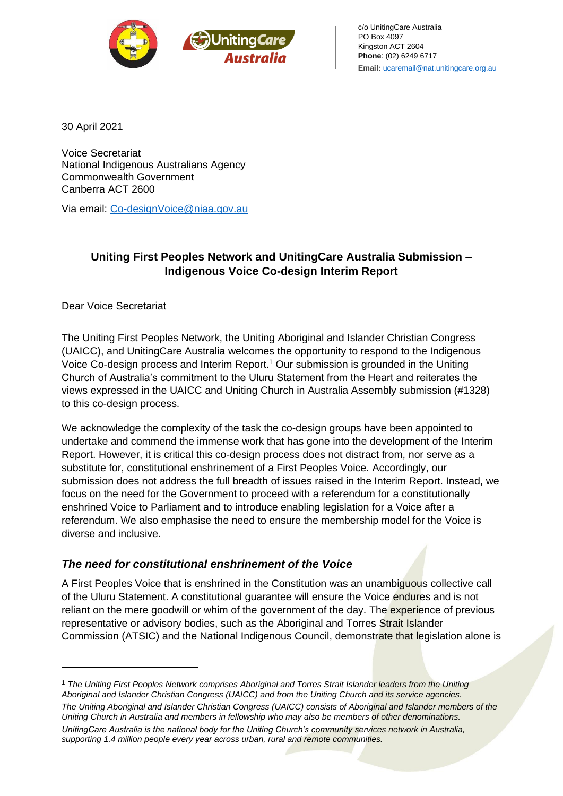

c/o UnitingCare Australia PO Box 4097 Kingston ACT 2604 **Phone**: (02) 6249 6717 **Email:** [ucaremail@nat.unitingcare.org.au](mailto:ucaremail@nat.unitingcare.org.au)

30 April 2021

Voice Secretariat National Indigenous Australians Agency Commonwealth Government Canberra ACT 2600

Via email: [Co-designVoice@niaa.gov.au](mailto:Co-designVoice@niaa.gov.au)

## **Uniting First Peoples Network and UnitingCare Australia Submission – Indigenous Voice Co-design Interim Report**

Dear Voice Secretariat

The Uniting First Peoples Network, the Uniting Aboriginal and Islander Christian Congress (UAICC), and UnitingCare Australia welcomes the opportunity to respond to the Indigenous Voice Co-design process and Interim Report.<sup>1</sup> Our submission is grounded in the Uniting Church of Australia's commitment to the Uluru Statement from the Heart and reiterates the views expressed in the UAICC and Uniting Church in Australia Assembly submission (#1328) to this co-design process.

We acknowledge the complexity of the task the co-design groups have been appointed to undertake and commend the immense work that has gone into the development of the Interim Report. However, it is critical this co-design process does not distract from, nor serve as a substitute for, constitutional enshrinement of a First Peoples Voice. Accordingly, our submission does not address the full breadth of issues raised in the Interim Report. Instead, we focus on the need for the Government to proceed with a referendum for a constitutionally enshrined Voice to Parliament and to introduce enabling legislation for a Voice after a referendum. We also emphasise the need to ensure the membership model for the Voice is diverse and inclusive.

## *The need for constitutional enshrinement of the Voice*

A First Peoples Voice that is enshrined in the Constitution was an unambiguous collective call of the Uluru Statement. A constitutional guarantee will ensure the Voice endures and is not reliant on the mere goodwill or whim of the government of the day. The experience of previous representative or advisory bodies, such as the Aboriginal and Torres Strait Islander Commission (ATSIC) and the National Indigenous Council, demonstrate that legislation alone is

<sup>1</sup> *The Uniting First Peoples Network comprises Aboriginal and Torres Strait Islander leaders from the Uniting Aboriginal and Islander Christian Congress (UAICC) and from the Uniting Church and its service agencies.* 

*The Uniting Aboriginal and Islander Christian Congress (UAICC) consists of Aboriginal and Islander members of the Uniting Church in Australia and members in fellowship who may also be members of other denominations. UnitingCare Australia is the national body for the Uniting Church's community services network in Australia, supporting 1.4 million people every year across urban, rural and remote communities.*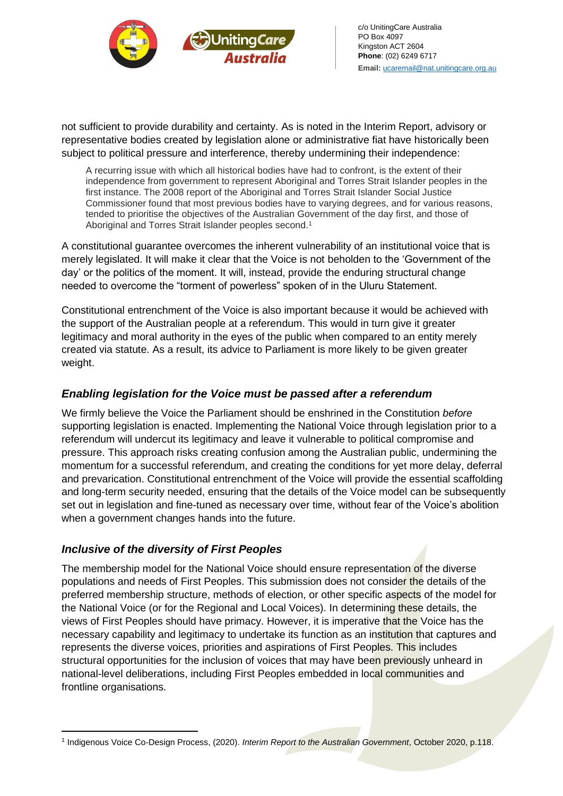



not sufficient to provide durability and certainty. As is noted in the Interim Report, advisory or representative bodies created by legislation alone or administrative fiat have historically been subject to political pressure and interference, thereby undermining their independence:

A recurring issue with which all historical bodies have had to confront, is the extent of their independence from government to represent Aboriginal and Torres Strait Islander peoples in the first instance. The 2008 report of the Aboriginal and Torres Strait Islander Social Justice Commissioner found that most previous bodies have to varying degrees, and for various reasons, tended to prioritise the objectives of the Australian Government of the day first, and those of Aboriginal and Torres Strait Islander peoples second.<sup>1</sup>

A constitutional guarantee overcomes the inherent vulnerability of an institutional voice that is merely legislated. It will make it clear that the Voice is not beholden to the 'Government of the day' or the politics of the moment. It will, instead, provide the enduring structural change needed to overcome the "torment of powerless" spoken of in the Uluru Statement.

Constitutional entrenchment of the Voice is also important because it would be achieved with the support of the Australian people at a referendum. This would in turn give it greater legitimacy and moral authority in the eyes of the public when compared to an entity merely created via statute. As a result, its advice to Parliament is more likely to be given greater weight.

## *Enabling legislation for the Voice must be passed after a referendum*

We firmly believe the Voice the Parliament should be enshrined in the Constitution *before*  supporting legislation is enacted. Implementing the National Voice through legislation prior to a referendum will undercut its legitimacy and leave it vulnerable to political compromise and pressure. This approach risks creating confusion among the Australian public, undermining the momentum for a successful referendum, and creating the conditions for yet more delay, deferral and prevarication. Constitutional entrenchment of the Voice will provide the essential scaffolding and long-term security needed, ensuring that the details of the Voice model can be subsequently set out in legislation and fine-tuned as necessary over time, without fear of the Voice's abolition when a government changes hands into the future.

## *Inclusive of the diversity of First Peoples*

The membership model for the National Voice should ensure representation of the diverse populations and needs of First Peoples. This submission does not consider the details of the preferred membership structure, methods of election, or other specific aspects of the model for the National Voice (or for the Regional and Local Voices). In determining these details, the views of First Peoples should have primacy. However, it is imperative that the Voice has the necessary capability and legitimacy to undertake its function as an institution that captures and represents the diverse voices, priorities and aspirations of First Peoples. This includes structural opportunities for the inclusion of voices that may have been previously unheard in national-level deliberations, including First Peoples embedded in local communities and frontline organisations.

<sup>1</sup> Indigenous Voice Co-Design Process, (2020). *Interim Report to the Australian Government*, October 2020, p.118.